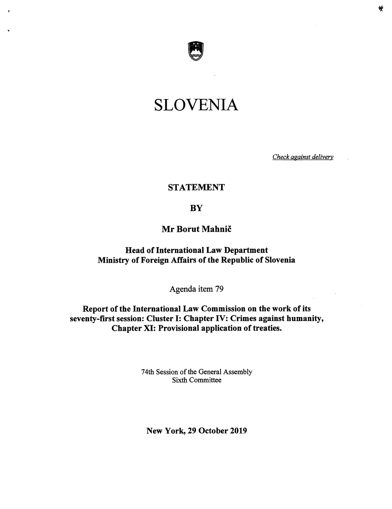

# SLOVENIA

Check against delivery

## STATEMENT

## **BY**

# Mr Borut Mahnic

Head of International Law Department Ministry of Foreign Affairs of the Republic of Slovenia

Agenda item 79

Report of the International Law Commission on the work of its seventy-first session: Cluster I: Chapter IV: Crimes against humanity, Chapter XI: Provisional application of treaties.

> 74th Session of the General Assembly Sixth Committee

New York, 29 October 2019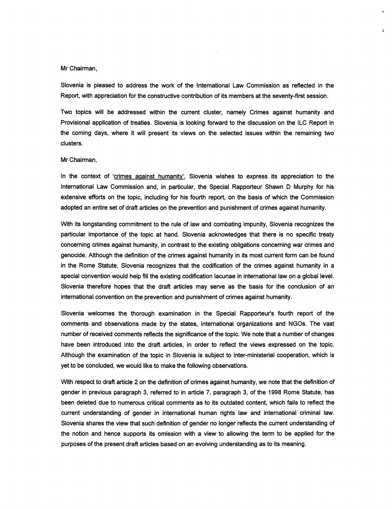### Mr Chairman,

Slovenia is pleased to address the work of the intemationai Law Commission as reflected in the Report, with appreciation for the constructive contribution of its members at the seventy-first session.

 $\mathbf{z}$ 

Two topics will be addressed within the current duster, namely Crimes against humanity and Provisional application of treaties. Slovenia is looking forward to the discussion on the ILC Report in the coming days, where it will present its views on the selected issues within the remaining two clusters.

#### Mr Chairman,

In the context of 'crimes against humanity'. Slovenia wishes to express its appreciation to the international Law Commission and, in particular, the Special Rapporteur Shawn D Murphy for his extensive efforts on the topic, including for his fourth report, on the basis of which the Commission adopted an entire set of draft articles on the prevention and punishment of crimes against humanity.

With its longstanding commitment to the rule of law and combating impunity, Slovenia recognizes the particular importance of the topic at hand. Slovenia acknowledges that there is no specific treaty concerning crimes against humanity, in contrast to the existing obligations conceming war crimes and genocide. Although the definition of the crimes against humanity in its most current form can be found in the Rome Statute, Slovenia recognizes that the codification of the crimes against humanity in a special convention would help fill the existing codification lacunae in intemationai law on a global level. Slovenia therefore hopes that the draft articles may serve as the basis for the conclusion of an intemationai convention on the prevention and punishment of crimes against humanity.

Slovenia welcomes the thorough examination in the Special Rapporteur's fourth report of the comments and observations made by the states, international organizations and NGOs. The vast number of received comments reflects the significance of the topic. We note that a number of changes have been introduced into the draft articles, in order to reflect the views expressed on the topic. Although the examination of the topic in Slovenia is subject to inter-ministeriai cooperation, which is yet to be concluded, we would like to make the following observations.

With respect to draft article 2 on the definition of crimes against humanity, we note that the definition of gender in previous paragraph 3, referred to in article 7, paragraph 3, of the 1998 Rome Statute, has been deleted due to numerous critical comments as to its outdated content, which fails to reflect the current understanding of gender in international human rights law and intemationai criminal law. Slovenia shares the view that such definition of gender no longer reflects the current understanding of the notion and hence supports its omission with a view to allowing the term to be applied for the purposes of the present draft articles based on an evolving understanding as to its meaning.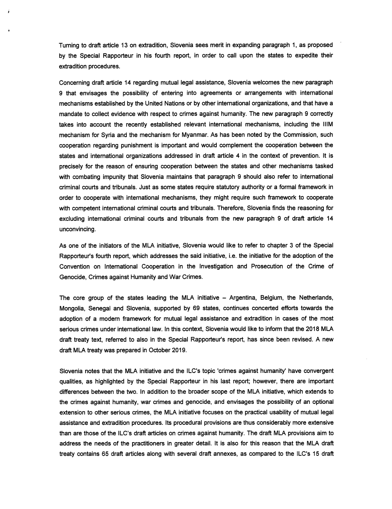Turning to draft article 13 on extradition, Slovenia sees merit in expanding paragraph) 1, as proposed by the Special Rapporteur in his fourth report, in order to call upon the states to expedite their extradition procedures.

Concerning draft article 14 regarding mutual legal assistance, Slovenia welcomes the new paragraph 9 that envisages the possibility of entering into agreements or arrangements with international mechanisms established by the United Nations or by other international organizations, and that have a mandate to collect evidence with respect to crimes against humanity. The new paragraph 9 correctly takes into account the recently established relevant international mechanisms, including the IIIM mechanism for Syria and the mechanism for Myanmar. As has been noted by the Commission, such cooperation regarding punishment is important and would complement the cooperation between the states and intemational organizations addressed in draft article 4 in the context of prevention. It is precisely for the reason of ensuring cooperation between the states and other mechanisms tasked with combating impunity that Slovenia maintains that paragraph 9 should also refer to international criminal courts and tribunals. Just as some states require statutory authority or a formal framework in order to cooperate with intemational mechanisms, they might require such framework to cooperate with competent intemational criminal courts and tribunals. Therefore, Slovenia finds the reasoning for excluding intemational criminal courts and tribunals from the new paragraph 9 of draft article 14 unconvincing.

As one of the initiators of the MLA initiative, Slovenia wouid like to refer to chapter 3 of the Special Rapporteur's fourth report, which addresses the said initiative, i.e. the initiative for the adoption of the Convention on Intemational Cooperation in the Investigation and Prosecution of the Crime of Genocide, Crimes against Humanity and War Crimes.

The core group of the states leading the MLA initiative  $-$  Argentina, Belgium, the Netherlands, Mongolia, Senegal and Slovenia, supported by 69 states, continues concerted efforts towards the adoption of a modem framework for mutual legal assistance and extradition in cases of the most serious crimes under intemational law. In this context, Slovenia would like to inform that the 2018 MLA draft treaty text, referred to also in the Special Rapporteur's report, has since been revised. A new draft MLA treaty was prepared in October 2019.

Slovenia notes that the MLA initiative and the ILC's topic 'crimes against humanity' have convergent qualities, as highlighted by the Special Rapporteur in his last report; however, there are important differences between the two. In addition to the broader scope of the MLA initiative, which extends to the crimes against humanity, war crimes and genocide, and envisages the possibility of an optional extension to other serious crimes, the MLA initiative focuses on the practical usability of mutual legal assistance and extradition procedures. Its procedural provisions are thus considerably more extensive than are those of the ILC's draft articles on crimes against humanity. The draft MLA provisions aim to address the needs of the practitioners in greater detail. It is also for this reason that the MLA draft treaty contains 65 draft articles along with several draft annexes, as compared to the ILC's 15 draft